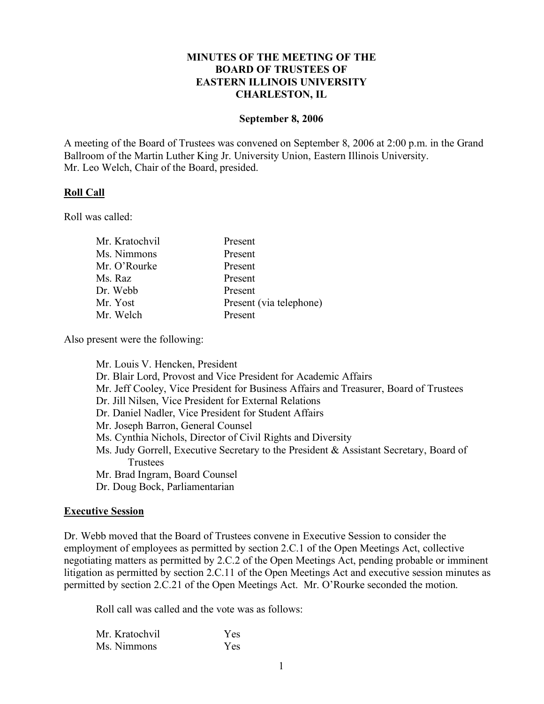### **MINUTES OF THE MEETING OF THE BOARD OF TRUSTEES OF EASTERN ILLINOIS UNIVERSITY CHARLESTON, IL**

#### **September 8, 2006**

A meeting of the Board of Trustees was convened on September 8, 2006 at 2:00 p.m. in the Grand Ballroom of the Martin Luther King Jr. University Union, Eastern Illinois University. Mr. Leo Welch, Chair of the Board, presided.

### **Roll Call**

Roll was called:

| Mr. Kratochvil | Present                 |
|----------------|-------------------------|
| Ms. Nimmons    | Present                 |
| Mr. O'Rourke   | Present                 |
| Ms. Raz        | Present                 |
| Dr. Webb       | Present                 |
| Mr. Yost       | Present (via telephone) |
| Mr. Welch      | Present                 |
|                |                         |

Also present were the following:

Mr. Louis V. Hencken, President Dr. Blair Lord, Provost and Vice President for Academic Affairs Mr. Jeff Cooley, Vice President for Business Affairs and Treasurer, Board of Trustees Dr. Jill Nilsen, Vice President for External Relations Dr. Daniel Nadler, Vice President for Student Affairs Mr. Joseph Barron, General Counsel Ms. Cynthia Nichols, Director of Civil Rights and Diversity Ms. Judy Gorrell, Executive Secretary to the President & Assistant Secretary, Board of **Trustees** Mr. Brad Ingram, Board Counsel Dr. Doug Bock, Parliamentarian

### **Executive Session**

Dr. Webb moved that the Board of Trustees convene in Executive Session to consider the employment of employees as permitted by section 2.C.1 of the Open Meetings Act, collective negotiating matters as permitted by 2.C.2 of the Open Meetings Act, pending probable or imminent litigation as permitted by section 2.C.11 of the Open Meetings Act and executive session minutes as permitted by section 2.C.21 of the Open Meetings Act. Mr. O'Rourke seconded the motion.

Roll call was called and the vote was as follows:

| Mr. Kratochvil | <b>Yes</b> |
|----------------|------------|
| Ms. Nimmons    | <b>Yes</b> |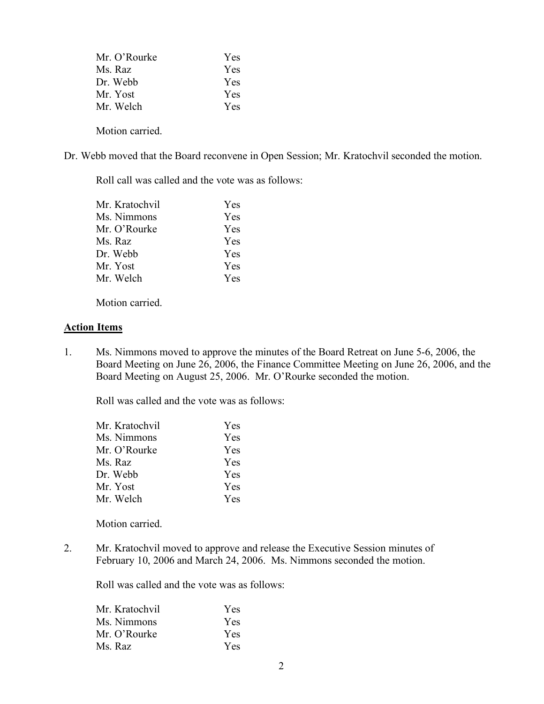| Mr. O'Rourke | <b>Yes</b> |
|--------------|------------|
| Ms. Raz      | Yes.       |
| Dr. Webb     | Yes.       |
| Mr. Yost     | <b>Yes</b> |
| Mr. Welch    | <b>Yes</b> |
|              |            |

Motion carried.

Dr. Webb moved that the Board reconvene in Open Session; Mr. Kratochvil seconded the motion.

Roll call was called and the vote was as follows:

| Mr. Kratochvil | Yes        |
|----------------|------------|
| Ms. Nimmons    | <b>Yes</b> |
| Mr. O'Rourke   | <b>Yes</b> |
| Ms. Raz        | Yes        |
| Dr. Webb       | Yes        |
| Mr. Yost       | <b>Yes</b> |
| Mr. Welch      | Yes        |
|                |            |

Motion carried.

### **Action Items**

1. Ms. Nimmons moved to approve the minutes of the Board Retreat on June 5-6, 2006, the Board Meeting on June 26, 2006, the Finance Committee Meeting on June 26, 2006, and the Board Meeting on August 25, 2006. Mr. O'Rourke seconded the motion.

Roll was called and the vote was as follows:

| Mr. Kratochvil | Yes        |
|----------------|------------|
| Ms. Nimmons    | Yes        |
| Mr. O'Rourke   | <b>Yes</b> |
| Ms. Raz        | Yes        |
| Dr. Webb       | Yes        |
| Mr. Yost       | <b>Yes</b> |
| Mr. Welch      | Yes        |

Motion carried.

2. Mr. Kratochvil moved to approve and release the Executive Session minutes of February 10, 2006 and March 24, 2006. Ms. Nimmons seconded the motion.

Roll was called and the vote was as follows:

| <b>Yes</b> |
|------------|
| <b>Yes</b> |
| <b>Yes</b> |
| <b>Yes</b> |
|            |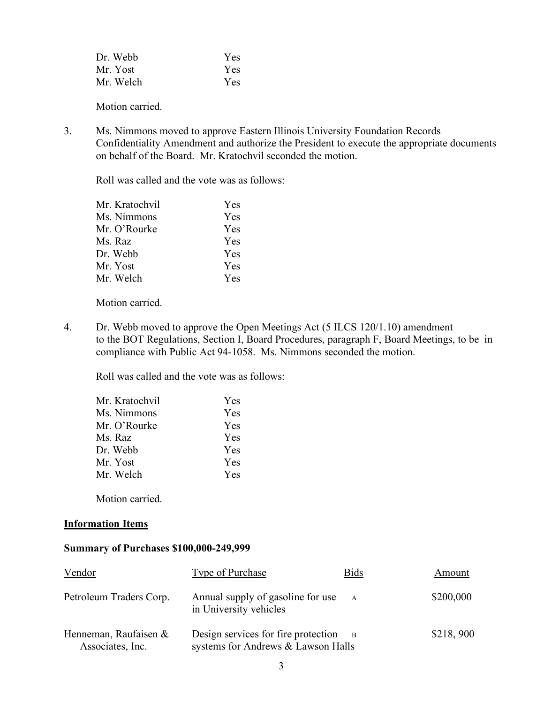| Dr. Webb  | Yes |
|-----------|-----|
| Mr. Yost  | Yes |
| Mr. Welch | Yes |

Motion carried.

3. Ms. Nimmons moved to approve Eastern Illinois University Foundation Records Confidentiality Amendment and authorize the President to execute the appropriate documents on behalf of the Board. Mr. Kratochvil seconded the motion.

Roll was called and the vote was as follows:

| Mr. Kratochvil | Yes        |
|----------------|------------|
| Ms. Nimmons    | Yes        |
| Mr. O'Rourke   | <b>Yes</b> |
| Ms. Raz        | Yes        |
| Dr. Webb       | Yes        |
| Mr. Yost       | <b>Yes</b> |
| Mr. Welch      | <b>Yes</b> |
|                |            |

Motion carried.

4. Dr. Webb moved to approve the Open Meetings Act (5 ILCS 120/1.10) amendment to the BOT Regulations, Section I, Board Procedures, paragraph F, Board Meetings, to be in compliance with Public Act 94-1058. Ms. Nimmons seconded the motion.

Roll was called and the vote was as follows:

| Mr. Kratochvil | Yes        |
|----------------|------------|
| Ms. Nimmons    | Yes        |
| Mr. O'Rourke   | <b>Yes</b> |
| Ms. Raz        | <b>Yes</b> |
| Dr. Webb       | Yes        |
| Mr. Yost       | Yes        |
| Mr. Welch      | <b>Yes</b> |
|                |            |

Motion carried.

### **Information Items**

#### **Summary of Purchases \$100,000-249,999**

| Vendor                                      | <b>Type of Purchase</b>                                                   | <b>Bids</b>    | Amount    |
|---------------------------------------------|---------------------------------------------------------------------------|----------------|-----------|
| Petroleum Traders Corp.                     | Annual supply of gasoline for use<br>in University vehicles               |                | \$200,000 |
| Henneman, Raufaisen $&$<br>Associates, Inc. | Design services for fire protection<br>systems for Andrews & Lawson Halls | $\overline{B}$ | \$218,900 |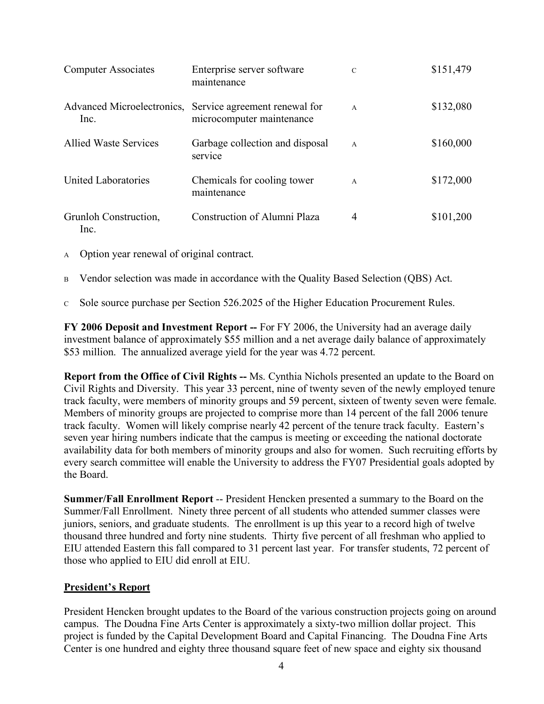| <b>Computer Associates</b>    | Enterprise server software<br>maintenance                                             | $\mathcal{C}$  | \$151,479 |
|-------------------------------|---------------------------------------------------------------------------------------|----------------|-----------|
| Inc.                          | Advanced Microelectronics, Service agreement renewal for<br>microcomputer maintenance | $\overline{A}$ | \$132,080 |
| <b>Allied Waste Services</b>  | Garbage collection and disposal<br>service                                            | $\overline{A}$ | \$160,000 |
| United Laboratories           | Chemicals for cooling tower<br>maintenance                                            | $\overline{A}$ | \$172,000 |
| Grunloh Construction,<br>Inc. | <b>Construction of Alumni Plaza</b>                                                   | 4              | \$101,200 |

- <sup>A</sup> Option year renewal of original contract.
- B Vendor selection was made in accordance with the Quality Based Selection (QBS) Act.
- <sup>C</sup> Sole source purchase per Section 526.2025 of the Higher Education Procurement Rules.

**FY 2006 Deposit and Investment Report --** For FY 2006, the University had an average daily investment balance of approximately \$55 million and a net average daily balance of approximately \$53 million. The annualized average yield for the year was 4.72 percent.

**Report from the Office of Civil Rights --** Ms. Cynthia Nichols presented an update to the Board on Civil Rights and Diversity. This year 33 percent, nine of twenty seven of the newly employed tenure track faculty, were members of minority groups and 59 percent, sixteen of twenty seven were female. Members of minority groups are projected to comprise more than 14 percent of the fall 2006 tenure track faculty. Women will likely comprise nearly 42 percent of the tenure track faculty. Eastern's seven year hiring numbers indicate that the campus is meeting or exceeding the national doctorate availability data for both members of minority groups and also for women. Such recruiting efforts by every search committee will enable the University to address the FY07 Presidential goals adopted by the Board.

**Summer/Fall Enrollment Report** -- President Hencken presented a summary to the Board on the Summer/Fall Enrollment. Ninety three percent of all students who attended summer classes were juniors, seniors, and graduate students. The enrollment is up this year to a record high of twelve thousand three hundred and forty nine students. Thirty five percent of all freshman who applied to EIU attended Eastern this fall compared to 31 percent last year. For transfer students, 72 percent of those who applied to EIU did enroll at EIU.

### **President's Report**

President Hencken brought updates to the Board of the various construction projects going on around campus. The Doudna Fine Arts Center is approximately a sixty-two million dollar project. This project is funded by the Capital Development Board and Capital Financing. The Doudna Fine Arts Center is one hundred and eighty three thousand square feet of new space and eighty six thousand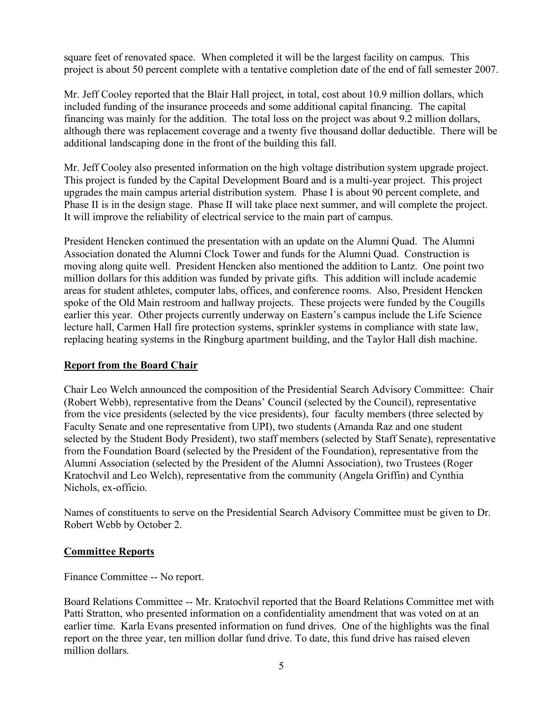square feet of renovated space. When completed it will be the largest facility on campus. This project is about 50 percent complete with a tentative completion date of the end of fall semester 2007.

Mr. Jeff Cooley reported that the Blair Hall project, in total, cost about 10.9 million dollars, which included funding of the insurance proceeds and some additional capital financing. The capital financing was mainly for the addition. The total loss on the project was about 9.2 million dollars, although there was replacement coverage and a twenty five thousand dollar deductible. There will be additional landscaping done in the front of the building this fall.

Mr. Jeff Cooley also presented information on the high voltage distribution system upgrade project. This project is funded by the Capital Development Board and is a multi-year project. This project upgrades the main campus arterial distribution system. Phase I is about 90 percent complete, and Phase II is in the design stage. Phase II will take place next summer, and will complete the project. It will improve the reliability of electrical service to the main part of campus.

President Hencken continued the presentation with an update on the Alumni Quad. The Alumni Association donated the Alumni Clock Tower and funds for the Alumni Quad. Construction is moving along quite well. President Hencken also mentioned the addition to Lantz. One point two million dollars for this addition was funded by private gifts. This addition will include academic areas for student athletes, computer labs, offices, and conference rooms. Also, President Hencken spoke of the Old Main restroom and hallway projects. These projects were funded by the Cougills earlier this year. Other projects currently underway on Eastern's campus include the Life Science lecture hall, Carmen Hall fire protection systems, sprinkler systems in compliance with state law, replacing heating systems in the Ringburg apartment building, and the Taylor Hall dish machine.

## **Report from the Board Chair**

Chair Leo Welch announced the composition of the Presidential Search Advisory Committee: Chair (Robert Webb), representative from the Deans' Council (selected by the Council), representative from the vice presidents (selected by the vice presidents), four faculty members (three selected by Faculty Senate and one representative from UPI), two students (Amanda Raz and one student selected by the Student Body President), two staff members (selected by Staff Senate), representative from the Foundation Board (selected by the President of the Foundation), representative from the Alumni Association (selected by the President of the Alumni Association), two Trustees (Roger Kratochvil and Leo Welch), representative from the community (Angela Griffin) and Cynthia Nichols, ex-officio.

Names of constituents to serve on the Presidential Search Advisory Committee must be given to Dr. Robert Webb by October 2.

## **Committee Reports**

Finance Committee -- No report.

Board Relations Committee -- Mr. Kratochvil reported that the Board Relations Committee met with Patti Stratton, who presented information on a confidentiality amendment that was voted on at an earlier time. Karla Evans presented information on fund drives. One of the highlights was the final report on the three year, ten million dollar fund drive. To date, this fund drive has raised eleven million dollars.